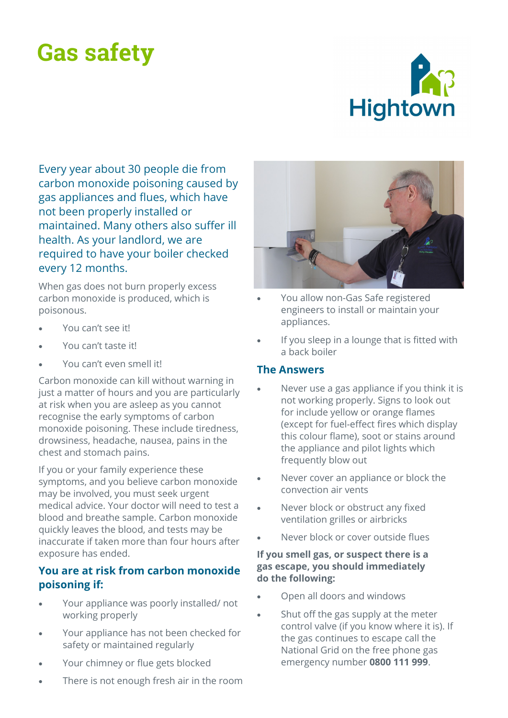# **Gas safety**



Every year about 30 people die from carbon monoxide poisoning caused by gas appliances and flues, which have not been properly installed or maintained. Many others also suffer ill health. As your landlord, we are required to have your boiler checked every 12 months.

When gas does not burn properly excess carbon monoxide is produced, which is poisonous.

- You can't see it!
- You can't taste it!
- You can't even smell it!

Carbon monoxide can kill without warning in just a matter of hours and you are particularly at risk when you are asleep as you cannot recognise the early symptoms of carbon monoxide poisoning. These include tiredness, drowsiness, headache, nausea, pains in the chest and stomach pains.

If you or your family experience these symptoms, and you believe carbon monoxide may be involved, you must seek urgent medical advice. Your doctor will need to test a blood and breathe sample. Carbon monoxide quickly leaves the blood, and tests may be inaccurate if taken more than four hours after exposure has ended.

### **You are at risk from carbon monoxide poisoning if:**

- Your appliance was poorly installed/ not working properly
- Your appliance has not been checked for safety or maintained regularly
- Your chimney or flue gets blocked
- There is not enough fresh air in the room



- You allow non-Gas Safe registered engineers to install or maintain your appliances.
- If you sleep in a lounge that is fitted with a back boiler

#### **The Answers**

- Never use a gas appliance if you think it is not working properly. Signs to look out for include yellow or orange flames (except for fuel-effect fires which display this colour flame), soot or stains around the appliance and pilot lights which frequently blow out
- Never cover an appliance or block the convection air vents
- Never block or obstruct any fixed ventilation grilles or airbricks
- Never block or cover outside flues

#### **If you smell gas, or suspect there is a gas escape, you should immediately do the following:**

- Open all doors and windows
- Shut off the gas supply at the meter control valve (if you know where it is). If the gas continues to escape call the National Grid on the free phone gas emergency number **0800 111 999**.